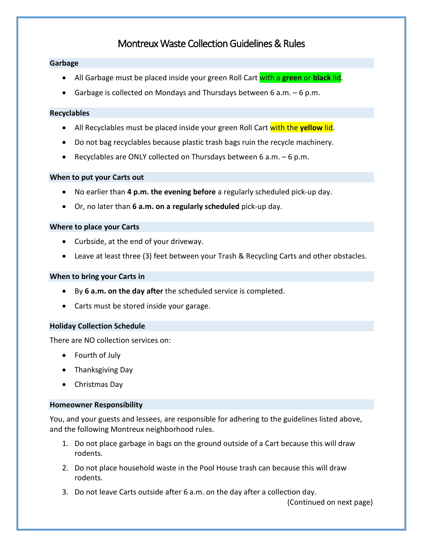# Montreux Waste Collection Guidelines & Rules

# **Garbage**

- All Garbage must be placed inside your green Roll Cart with a **green** or **black** lid.
- Garbage is collected on Mondays and Thursdays between 6 a.m.  $-6$  p.m.

#### **Recyclables**

- All Recyclables must be placed inside your green Roll Cart with the **yellow** lid.
- Do not bag recyclables because plastic trash bags ruin the recycle machinery.
- Recyclables are ONLY collected on Thursdays between  $6$  a.m.  $-6$  p.m.

# **When to put your Carts out**

- No earlier than **4 p.m. the evening before** a regularly scheduled pick-up day.
- Or, no later than **6 a.m. on a regularly scheduled** pick-up day.

#### **Where to place your Carts**

- Curbside, at the end of your driveway.
- Leave at least three (3) feet between your Trash & Recycling Carts and other obstacles.

## **When to bring your Carts in**

- By **6 a.m. on the day after** the scheduled service is completed.
- Carts must be stored inside your garage.

# **Holiday Collection Schedule**

There are NO collection services on:

- Fourth of July
- Thanksgiving Day
- Christmas Day

#### **Homeowner Responsibility**

You, and your guests and lessees, are responsible for adhering to the guidelines listed above, and the following Montreux neighborhood rules.

- 1. Do not place garbage in bags on the ground outside of a Cart because this will draw rodents.
- 2. Do not place household waste in the Pool House trash can because this will draw rodents.
- 3. Do not leave Carts outside after 6 a.m. on the day after a collection day.

(Continued on next page)